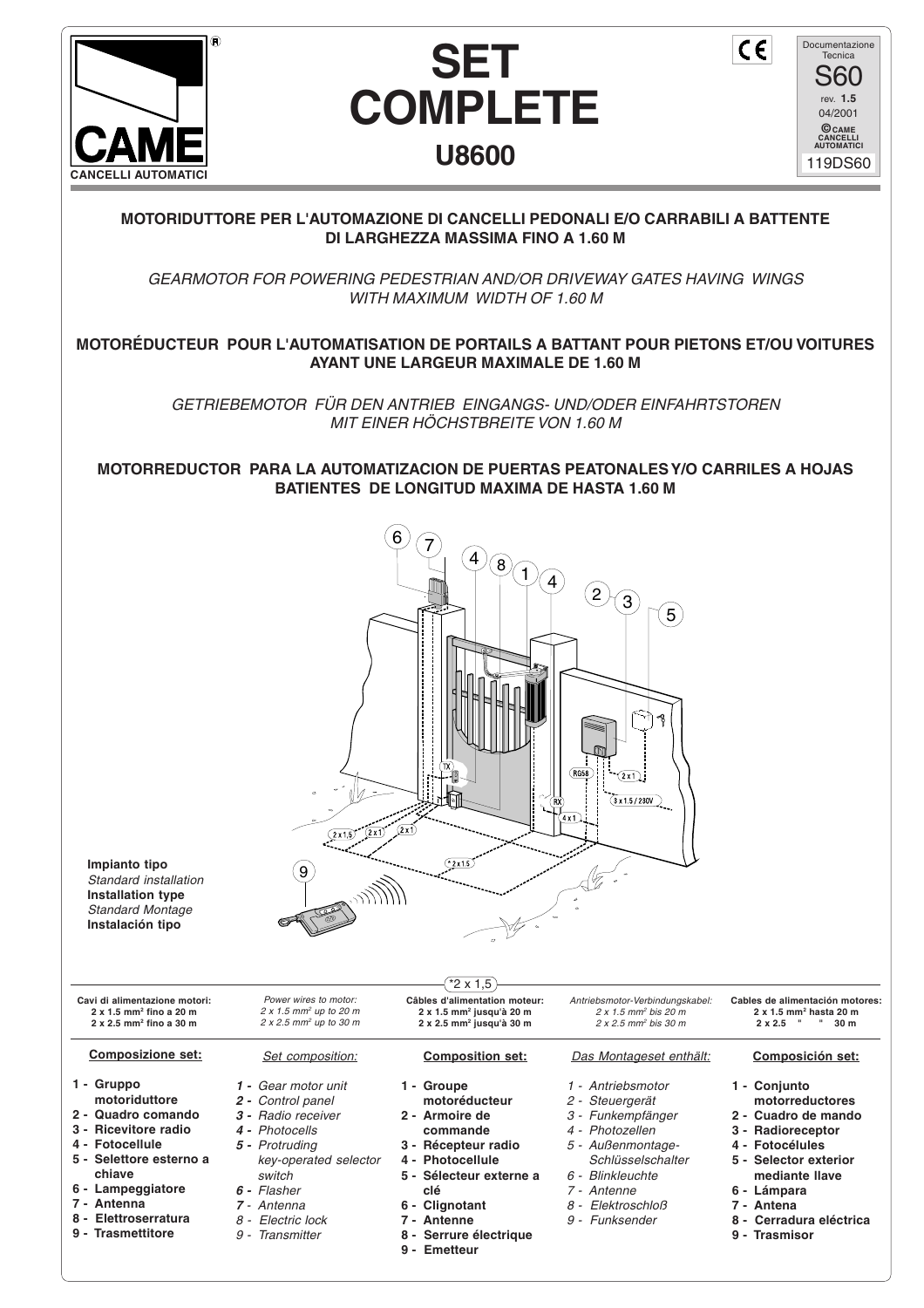





 $\epsilon$ 

## **MOTORIDUTTORE PER L'AUTOMAZIONE DI CANCELLI PEDONALI E/O CARRABILI A BATTENTE DI LARGHEZZA MASSIMA FINO A 1.60 M**

GEARMOTOR FOR POWERING PEDESTRIAN AND/OR DRIVEWAY GATES HAVING WINGS WITH MAXIMUM WIDTH OF 1.60 M

## **MOTORÉDUCTEUR POUR L'AUTOMATISATION DE PORTAILS A BATTANT POUR PIETONS ET/OU VOITURES AYANT UNE LARGEUR MAXIMALE DE 1.60 M**

GETRIEBEMOTOR FÜR DEN ANTRIEB EINGANGS- UND/ODER EINFAHRTSTOREN MIT EINER HÖCHSTBREITE VON 1.60 M

**MOTORREDUCTOR PARA LA AUTOMATIZACION DE PUERTAS PEATONALES Y/O CARRILES A HOJAS BATIENTES DE LONGITUD MAXIMA DE HASTA 1.60 M**

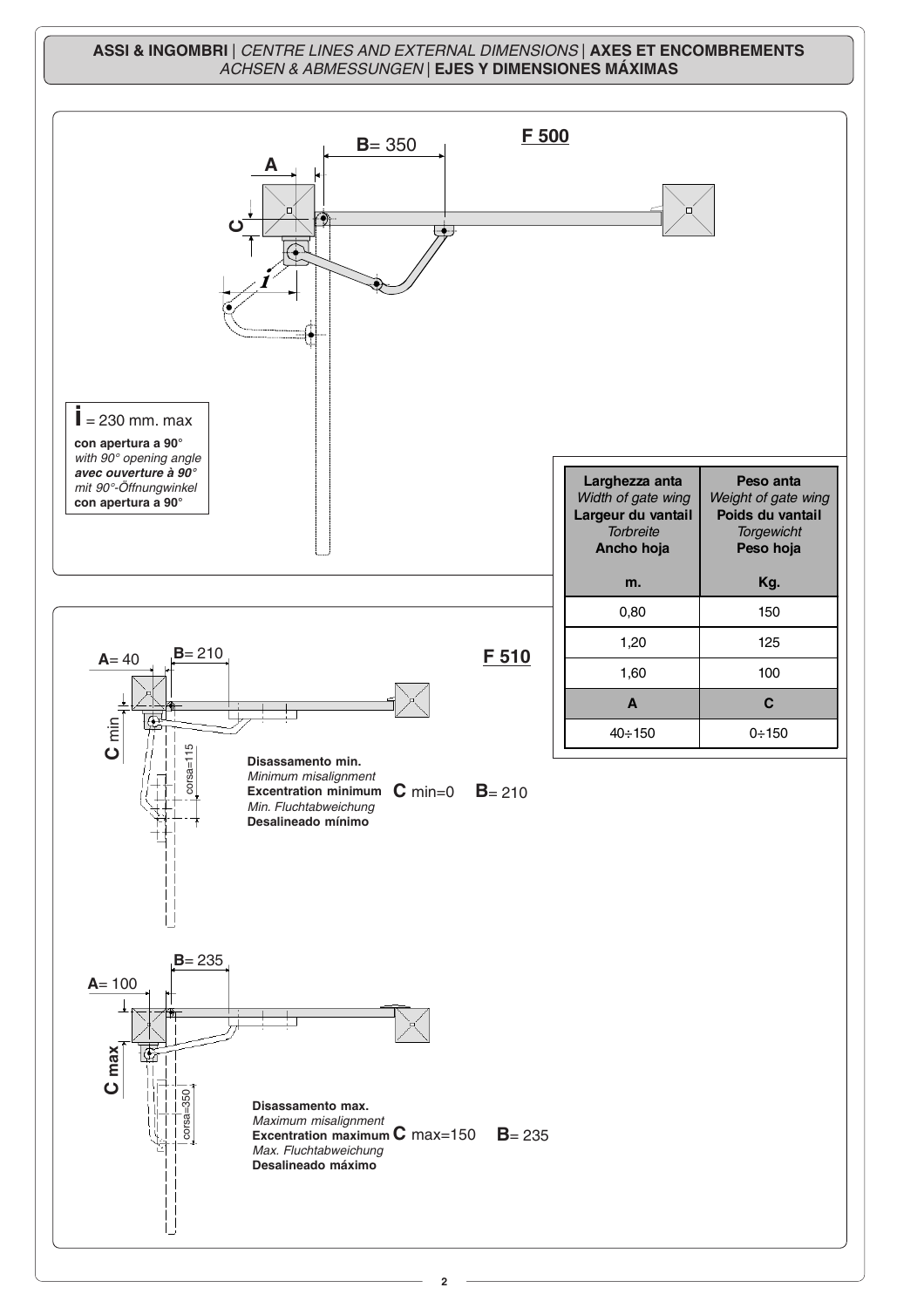## **ASSI & INGOMBRI** | CENTRE LINES AND EXTERNAL DIMENSIONS | **AXES ET ENCOMBREMENTS** ACHSEN & ABMESSUNGEN | **EJES Y DIMENSIONES MÁXIMAS**

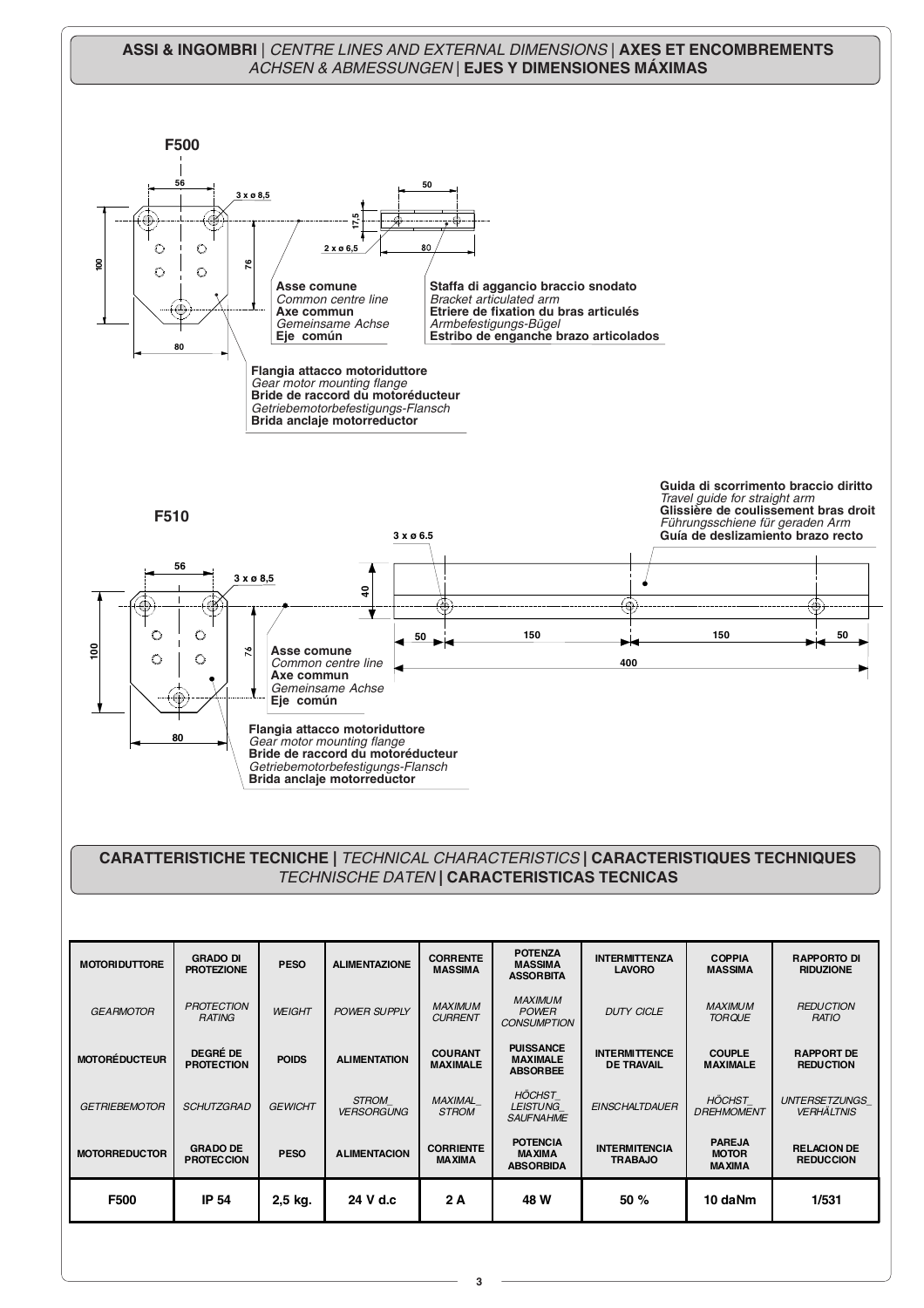## **ASSI & INGOMBRI** | CENTRE LINES AND EXTERNAL DIMENSIONS | **AXES ET ENCOMBREMENTS** ACHSEN & ABMESSUNGEN | **EJES Y DIMENSIONES MÁXIMAS**



**3**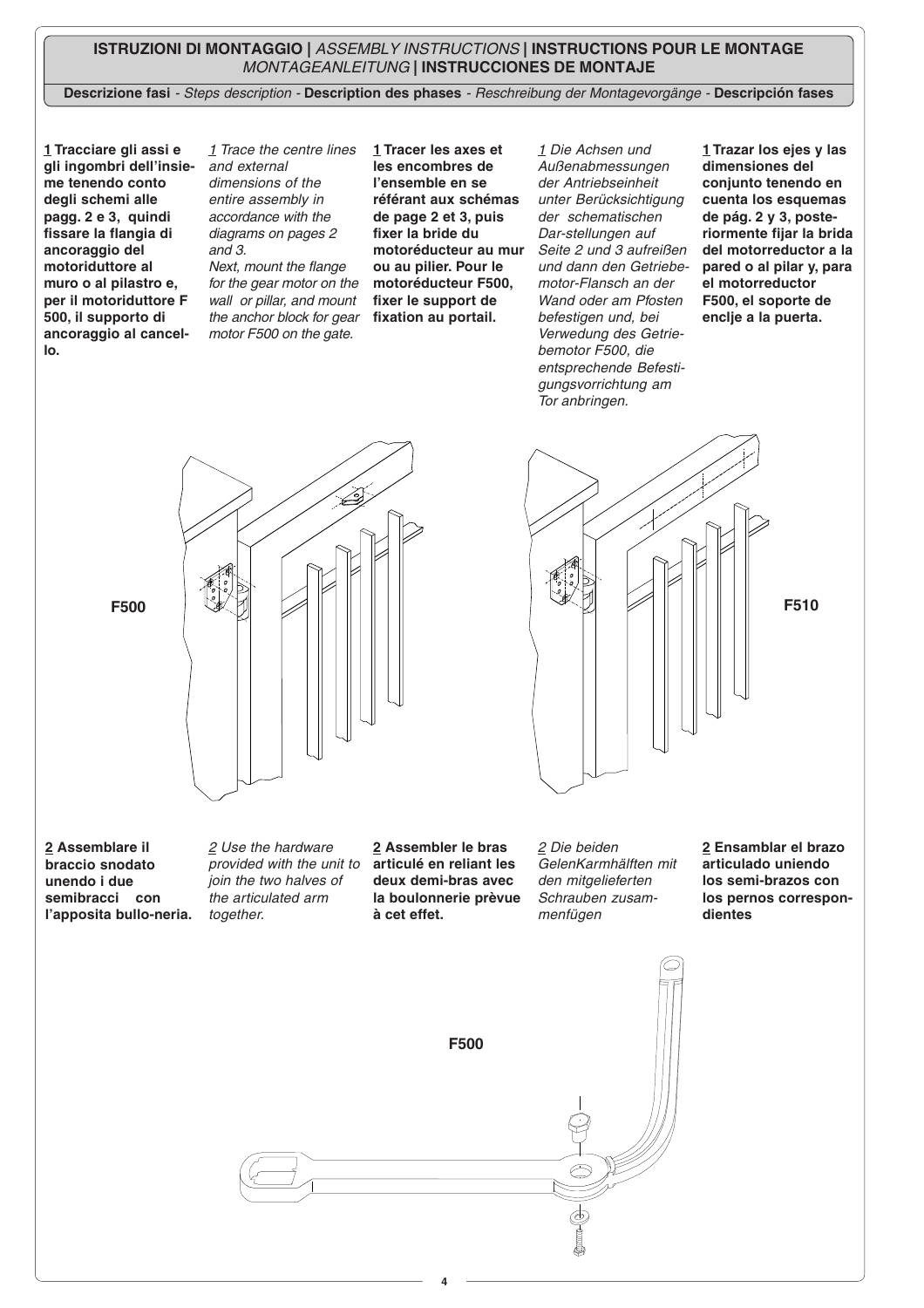## **ISTRUZIONI DI MONTAGGIO |** ASSEMBLY INSTRUCTIONS **| INSTRUCTIONS POUR LE MONTAGE** MONTAGEANLEITUNG **| INSTRUCCIONES DE MONTAJE**

**Descrizione fasi** - Steps description - **Description des phases** - Reschreibung der Montagevorgänge - **Descripción fases**

**1 Tracciare gli assi e gli ingombri dell'insieme tenendo conto degli schemi alle pagg. 2 e 3, quindi fissare la flangia di ancoraggio del motoriduttore al muro o al pilastro e, per il motoriduttore F 500, il supporto di ancoraggio al cancello.**

1 Trace the centre lines and external dimensions of the entire assembly in accordance with the diagrams on pages 2 and 3. Next, mount the flange for the gear motor on the wall or pillar, and mount the anchor block for gear motor F500 on the gate.

**1 Tracer les axes et les encombres de l'ensemble en se référant aux schémas de page 2 et 3, puis fixer la bride du motoréducteur au mur ou au pilier. Pour le motoréducteur F500, fixer le support de fixation au portail.**

1 Die Achsen und Außenabmessungen der Antriebseinheit unter Berücksichtigung der schematischen Dar-stellungen auf Seite 2 und 3 aufreißen und dann den Getriebemotor-Flansch an der Wand oder am Pfosten befestigen und, bei Verwedung des Getriebemotor F500, die entsprechende Befestigungsvorrichtung am Tor anbringen.

**1 Trazar los ejes y las dimensiones del conjunto tenendo en cuenta los esquemas de pág. 2 y 3, posteriormente fijar la brida del motorreductor a la pared o al pilar y, para el motorreductor F500, el soporte de enclje a la puerta.**



**2 Assemblare il braccio snodato unendo i due semibracci con l'apposita bullo-neria.**

2 Use the hardware provided with the unit to join the two halves of the articulated arm together.

**2 Assembler le bras articulé en reliant les deux demi-bras avec la boulonnerie prèvue à cet effet.**

2 Die beiden GelenKarmhälften mit den mitgelieferten Schrauben zusammenfügen

**2 Ensamblar el brazo articulado uniendo los semi-brazos con los pernos correspondientes**

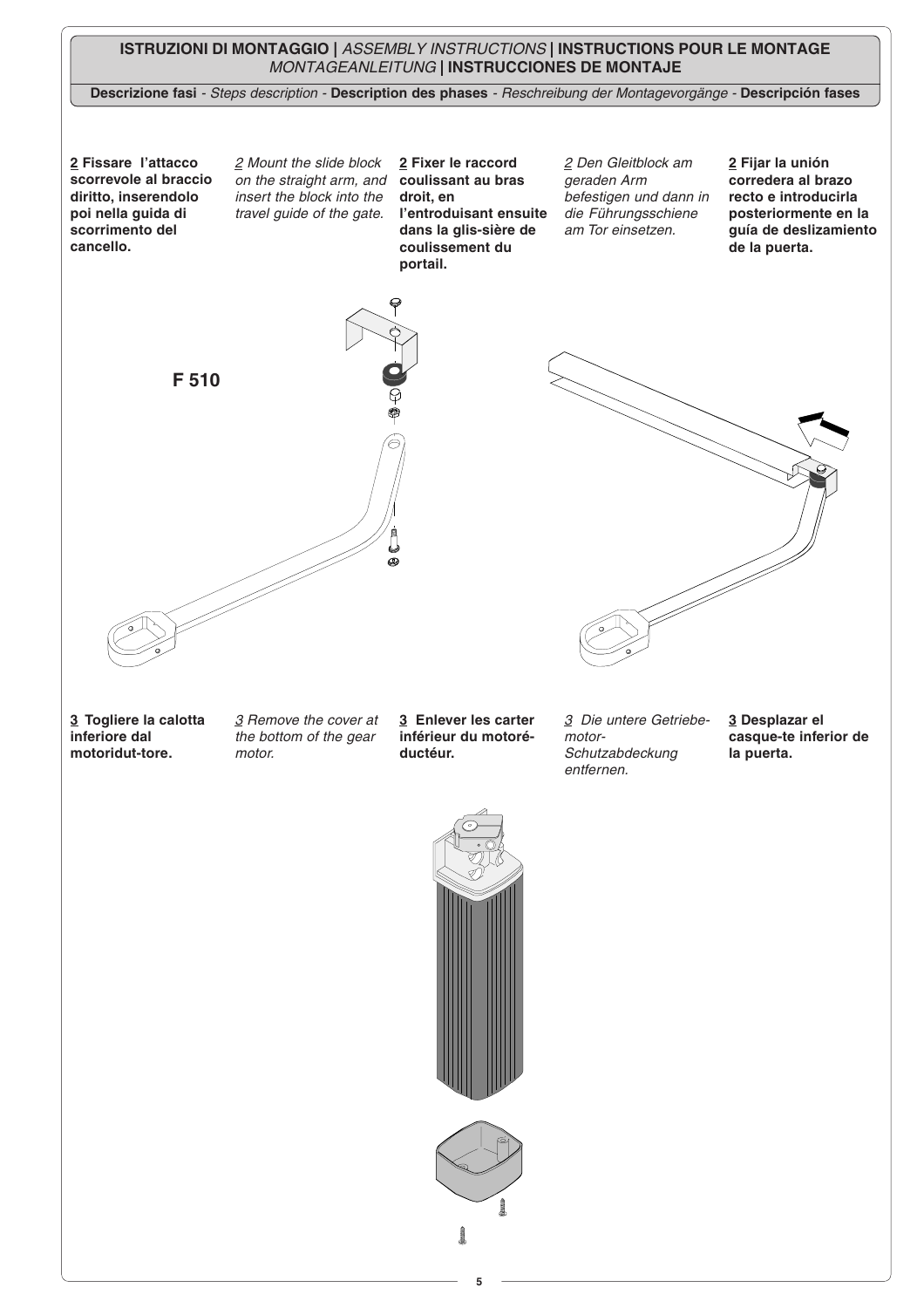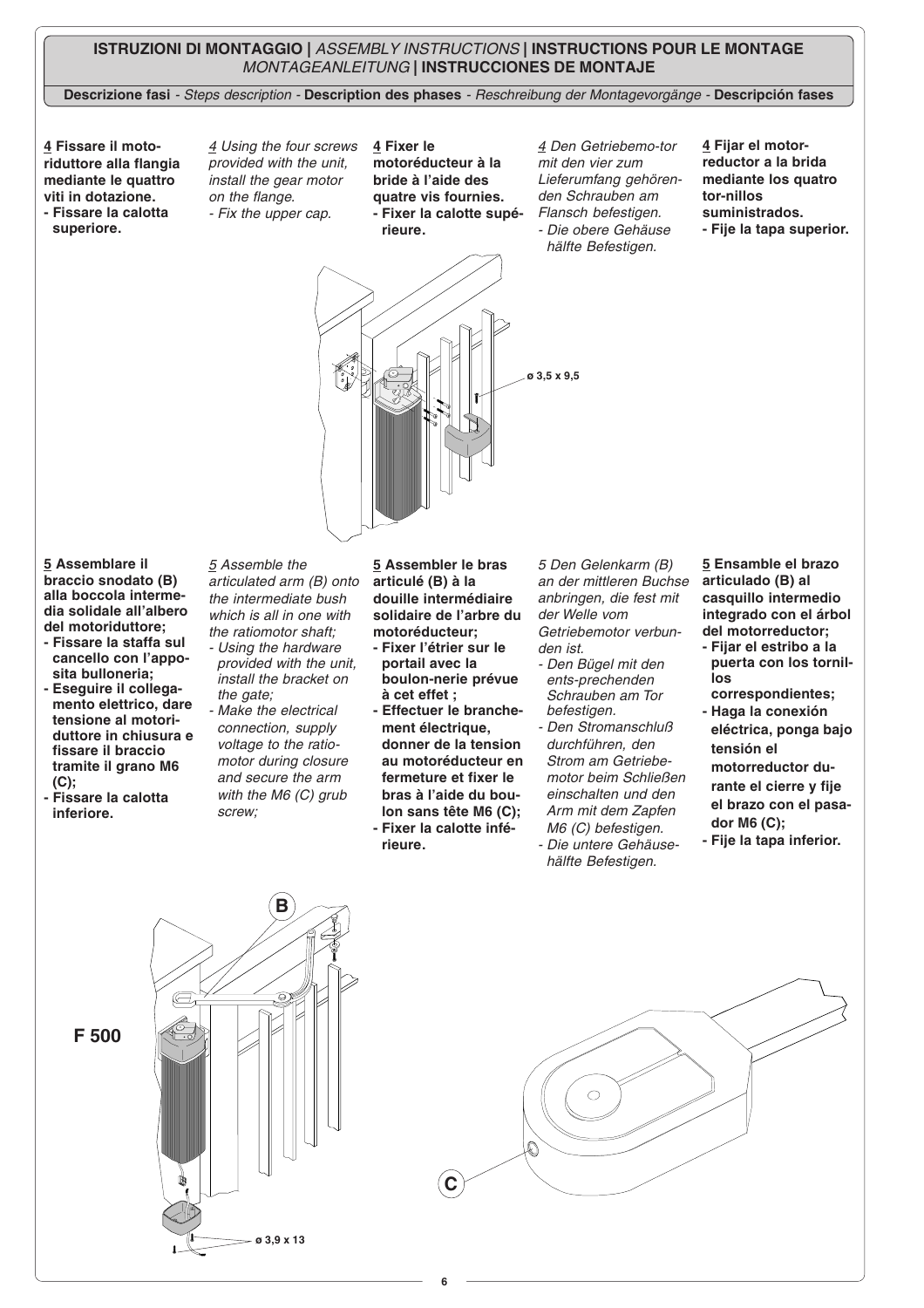## **ISTRUZIONI DI MONTAGGIO |** ASSEMBLY INSTRUCTIONS **| INSTRUCTIONS POUR LE MONTAGE** MONTAGEANLEITUNG **| INSTRUCCIONES DE MONTAJE**

**Descrizione fasi** - Steps description - **Description des phases** - Reschreibung der Montagevorgänge - **Descripción fases**

**4 Fissare il motoriduttore alla flangia mediante le quattro viti in dotazione.**

**- Fissare la calotta superiore.**

4 Using the four screws provided with the unit, install the gear motor on the flange. - Fix the upper cap.

**4 Fixer le motoréducteur à la bride à l'aide des quatre vis fournies. - Fixer la calotte supérieure.**

4 Den Getriebemo-tor mit den vier zum Lieferumfang gehörenden Schrauben am Flansch befestigen. - Die obere Gehäuse hälfte Befestigen.

- **4 Fijar el motorreductor a la brida mediante los quatro tor-nillos suministrados.**
- **Fije la tapa superior.**



**5 Assemblare il braccio snodato (B) alla boccola intermedia solidale all'albero del motoriduttore;**

- **Fissare la staffa sul cancello con l'apposita bulloneria;**
- **Eseguire il collegamento elettrico, dare tensione al motoriduttore in chiusura e fissare il braccio tramite il grano M6 (C);**
- **Fissare la calotta inferiore.**

5 Assemble the articulated arm (B) onto the intermediate bush which is all in one with the ratiomotor shaft;

- Using the hardware provided with the unit, install the bracket on the gate;
- Make the electrical connection, supply voltage to the ratiomotor during closure and secure the arm with the M6 (C) grub screw;

**5 Assembler le bras articulé (B) à la douille intermédiaire solidaire de l'arbre du motoréducteur;**

- **Fixer l'étrier sur le portail avec la boulon-nerie prévue à cet effet ;**
- **Effectuer le branchement électrique, donner de la tension au motoréducteur en fermeture et fixer le bras à l'aide du boulon sans tête M6 (C); - Fixer la calotte infé-**
- **rieure.**

5 Den Gelenkarm (B) an der mittleren Buchse anbringen, die fest mit der Welle vom Getriebemotor verbunden ist.

- Den Bügel mit den ents-prechenden Schrauben am Tor befestigen.
- Den Stromanschluß durchführen, den Strom am Getriebemotor beim Schließen einschalten und den Arm mit dem Zapfen M6 (C) befestigen. - Die untere Gehäusehälfte Befestigen.

**5 Ensamble el brazo articulado (B) al casquillo intermedio integrado con el árbol del motorreductor;**

- **Fijar el estribo a la puerta con los tornillos correspondientes;**
- **Haga la conexión eléctrica, ponga bajo tensión el motorreductor durante el cierre y fije el brazo con el pasador M6 (C);**
- **Fije la tapa inferior.**

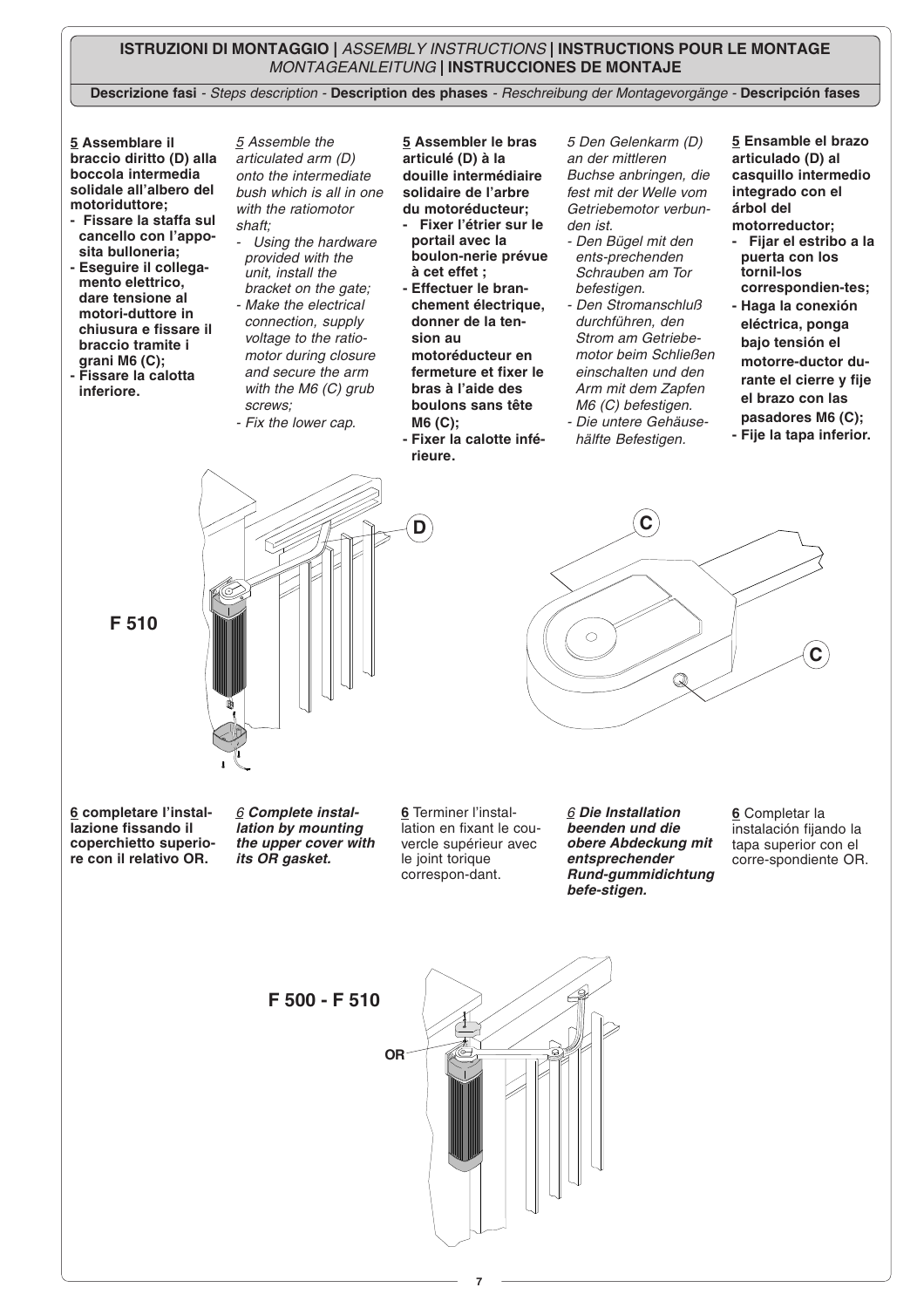## **ISTRUZIONI DI MONTAGGIO |** ASSEMBLY INSTRUCTIONS **| INSTRUCTIONS POUR LE MONTAGE** MONTAGEANLEITUNG **| INSTRUCCIONES DE MONTAJE**

**Descrizione fasi** - Steps description - **Description des phases** - Reschreibung der Montagevorgänge - **Descripción fases**

**5 Assemblare il braccio diritto (D) alla boccola intermedia solidale all'albero del motoriduttore;**

- **Fissare la staffa sul cancello con l'apposita bulloneria;**
- **Eseguire il collegamento elettrico, dare tensione al motori-duttore in chiusura e fissare il braccio tramite i grani M6 (C); - Fissare la calotta**
- **inferiore.**

5 Assemble the articulated arm (D) onto the intermediate bush which is all in one with the ratiomotor shaft;

- Using the hardware provided with the unit, install the bracket on the gate; - Make the electrical connection, supply voltage to the ratiomotor during closure
- screws; - Fix the lower cap.

and secure the arm with the M6 (C) grub **5 Assembler le bras articulé (D) à la douille intermédiaire solidaire de l'arbre du motoréducteur;**

- **Fixer l'étrier sur le portail avec la boulon-nerie prévue à cet effet ;**
- **Effectuer le branchement électrique, donner de la tension au motoréducteur en fermeture et fixer le bras à l'aide des boulons sans tête M6 (C);**
- **Fixer la calotte inférieure.**

**D**

5 Den Gelenkarm (D) an der mittleren Buchse anbringen, die fest mit der Welle vom Getriebemotor verbunden ist.

- Den Bügel mit den ents-prechenden Schrauben am Tor befestigen.
- Den Stromanschluß durchführen, den Strom am Getriebemotor beim Schließen einschalten und den Arm mit dem Zapfen M6 (C) befestigen. - Die untere Gehäuse-
- hälfte Befestigen.

**5 Ensamble el brazo articulado (D) al casquillo intermedio integrado con el árbol del motorreductor;**

- **Fijar el estribo a la puerta con los tornil-los correspondien-tes;**
- **Haga la conexión eléctrica, ponga bajo tensión el motorre-ductor durante el cierre y fije el brazo con las pasadores M6 (C);**
- **Fije la tapa inferior.**



**C** $\circ$ **C**  $\mathcal Q$ 

**6 completare l'installazione fissando il coperchietto superiore con il relativo OR.**

6 **Complete installation by mounting the upper cover with its OR gasket.**

**6** Terminer l'installation en fixant le couvercle supérieur avec le joint torique correspon-dant.

6 **Die Installation beenden und die obere Abdeckung mit entsprechender Rund-gummidichtung befe-stigen.**

**6** Completar la instalación fijando la tapa superior con el corre-spondiente OR.

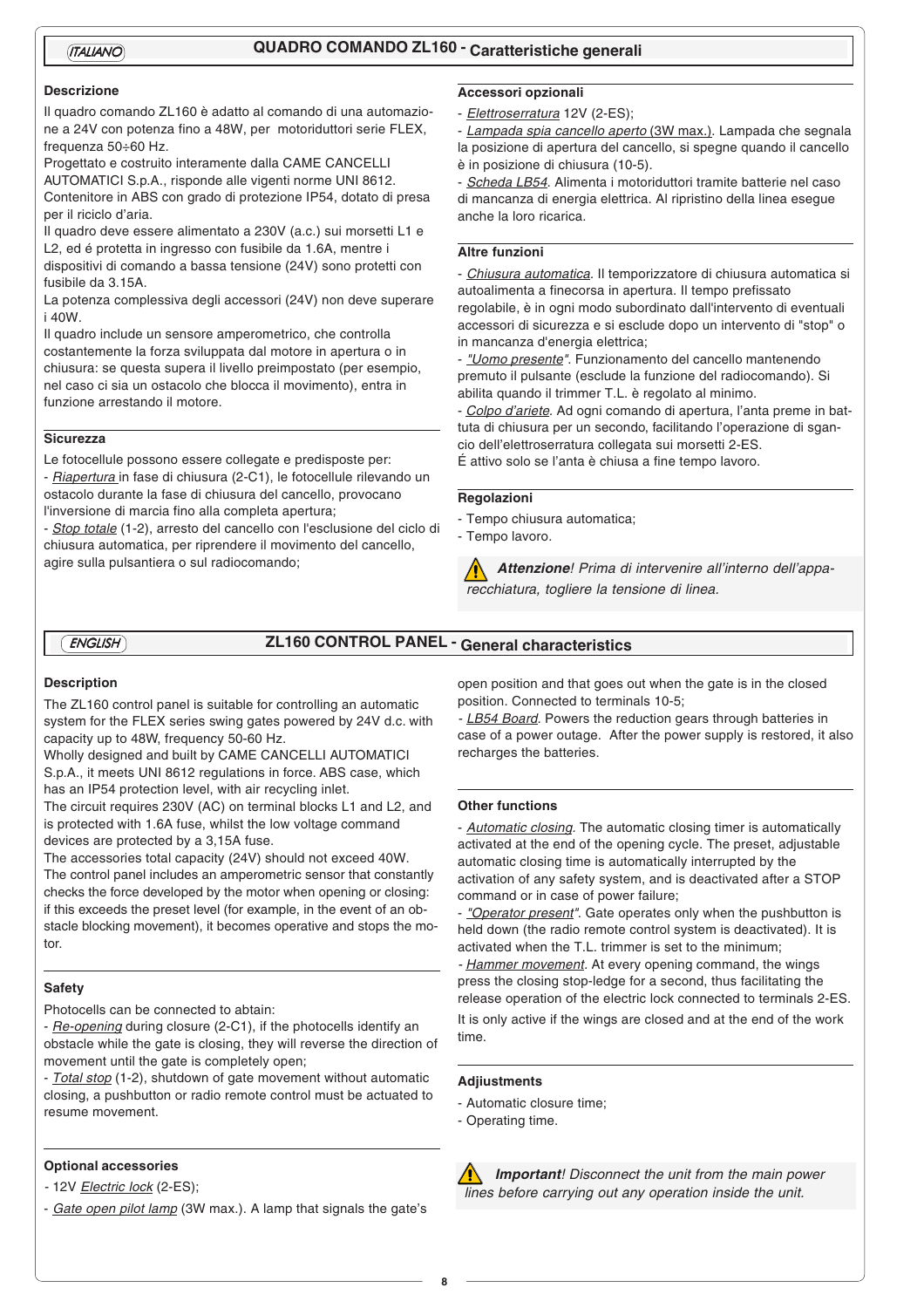## *ITALIANO* **QUADRO COMANDO ZL160 - Caratteristiche generali**

#### **Descrizione**

Il quadro comando ZL160 è adatto al comando di una automazione a 24V con potenza fino a 48W, per motoriduttori serie FLEX, frequenza 50÷60 Hz.

Progettato e costruito interamente dalla CAME CANCELLI AUTOMATICI S.p.A., risponde alle vigenti norme UNI 8612. Contenitore in ABS con grado di protezione IP54, dotato di presa per il riciclo d'aria.

Il quadro deve essere alimentato a 230V (a.c.) sui morsetti L1 e L2, ed é protetta in ingresso con fusibile da 1.6A, mentre i dispositivi di comando a bassa tensione (24V) sono protetti con fusibile da 3.15A.

La potenza complessiva degli accessori (24V) non deve superare i 40W.

Il quadro include un sensore amperometrico, che controlla costantemente la forza sviluppata dal motore in apertura o in chiusura: se questa supera il livello preimpostato (per esempio, nel caso ci sia un ostacolo che blocca il movimento), entra in funzione arrestando il motore.

## **Sicurezza**

Le fotocellule possono essere collegate e predisposte per: - Riapertura in fase di chiusura (2-C1), le fotocellule rilevando un ostacolo durante la fase di chiusura del cancello, provocano

l'inversione di marcia fino alla completa apertura; - Stop totale (1-2), arresto del cancello con l'esclusione del ciclo di

chiusura automatica, per riprendere il movimento del cancello, agire sulla pulsantiera o sul radiocomando;

### **Accessori opzionali**

- Elettroserratura 12V (2-ES);

- Lampada spia cancello aperto (3W max.). Lampada che segnala la posizione di apertura del cancello, si spegne quando il cancello è in posizione di chiusura (10-5).

- Scheda LB54. Alimenta i motoriduttori tramite batterie nel caso di mancanza di energia elettrica. Al ripristino della linea esegue anche la loro ricarica.

#### **Altre funzioni**

- Chiusura automatica. Il temporizzatore di chiusura automatica si autoalimenta a finecorsa in apertura. Il tempo prefissato regolabile, è in ogni modo subordinato dall'intervento di eventuali accessori di sicurezza e si esclude dopo un intervento di "stop" o in mancanza d'energia elettrica;

- "Uomo presente". Funzionamento del cancello mantenendo premuto il pulsante (esclude la funzione del radiocomando). Si abilita quando il trimmer T.L. è regolato al minimo.

- Colpo d'ariete. Ad ogni comando di apertura, l'anta preme in battuta di chiusura per un secondo, facilitando l'operazione di sgancio dell'elettroserratura collegata sui morsetti 2-ES. É attivo solo se l'anta è chiusa a fine tempo lavoro.

#### **Regolazioni**

- Tempo chiusura automatica;

- Tempo lavoro.

**Attenzione**! Prima di intervenire all'interno dell'apparecchiatura, togliere la tensione di linea.

# *ENGLISH* **ZL160 CONTROL PANEL - General characteristics**

#### **Description**

The ZL160 control panel is suitable for controlling an automatic system for the FLEX series swing gates powered by 24V d.c. with capacity up to 48W, frequency 50-60 Hz.

Wholly designed and built by CAME CANCELLI AUTOMATICI S.p.A., it meets UNI 8612 regulations in force. ABS case, which has an IP54 protection level, with air recycling inlet.

The circuit requires 230V (AC) on terminal blocks L1 and L2, and is protected with 1.6A fuse, whilst the low voltage command devices are protected by a 3,15A fuse.

The accessories total capacity (24V) should not exceed 40W. The control panel includes an amperometric sensor that constantly checks the force developed by the motor when opening or closing: if this exceeds the preset level (for example, in the event of an obstacle blocking movement), it becomes operative and stops the motor.

#### **Safety**

Photocells can be connected to abtain:

- Re-opening during closure (2-C1), if the photocells identify an obstacle while the gate is closing, they will reverse the direction of movement until the gate is completely open;

- Total stop (1-2), shutdown of gate movement without automatic closing, a pushbutton or radio remote control must be actuated to resume movement.

#### **Optional accessories**

- 12V <u>Electric lock</u> (2-ES);

- Gate open pilot lamp (3W max.). A lamp that signals the gate's

open position and that goes out when the gate is in the closed position. Connected to terminals 10-5;

- LB54 Board. Powers the reduction gears through batteries in case of a power outage. After the power supply is restored, it also recharges the batteries.

#### **Other functions**

- Automatic closing. The automatic closing timer is automatically activated at the end of the opening cycle. The preset, adjustable automatic closing time is automatically interrupted by the activation of any safety system, and is deactivated after a STOP command or in case of power failure;

- "Operator present". Gate operates only when the pushbutton is held down (the radio remote control system is deactivated). It is activated when the T.L. trimmer is set to the minimum;

- Hammer movement. At every opening command, the wings press the closing stop-ledge for a second, thus facilitating the release operation of the electric lock connected to terminals 2-ES.

It is only active if the wings are closed and at the end of the work time.

#### **Adjiustments**

- Automatic closure time;
- Operating time.

**IN** Important! Disconnect the unit from the main power lines before carrying out any operation inside the unit.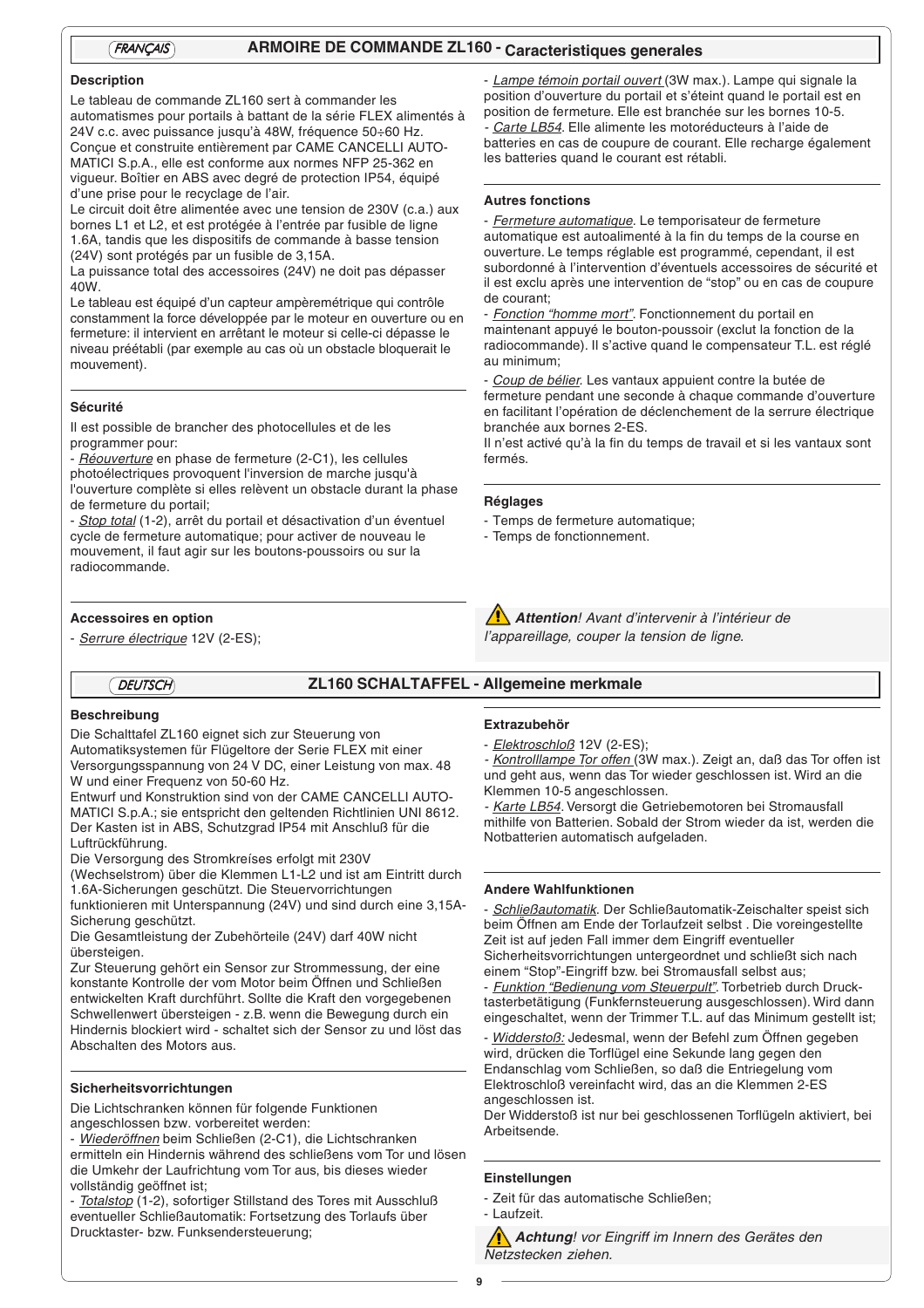# *FRANÇAIS* **ARMOIRE DE COMMANDE ZL160 - Caracteristiques generales**

#### **Description**

Le tableau de commande ZL160 sert à commander les automatismes pour portails à battant de la série FLEX alimentés à 24V c.c. avec puissance jusqu'à 48W, fréquence 50÷60 Hz. Conçue et construite entièrement par CAME CANCELLI AUTO-MATICI S.p.A., elle est conforme aux normes NFP 25-362 en vigueur. Boîtier en ABS avec degré de protection IP54, équipé d'une prise pour le recyclage de l'air.

Le circuit doit être alimentée avec une tension de 230V (c.a.) aux bornes L1 et L2, et est protégée à l'entrée par fusible de ligne 1.6A, tandis que les dispositifs de commande à basse tension (24V) sont protégés par un fusible de 3,15A.

La puissance total des accessoires (24V) ne doit pas dépasser 40W.

Le tableau est équipé d'un capteur ampèremétrique qui contrôle constamment la force développée par le moteur en ouverture ou en fermeture: il intervient en arrêtant le moteur si celle-ci dépasse le niveau préétabli (par exemple au cas où un obstacle bloquerait le mouvement).

#### **Sécurité**

Il est possible de brancher des photocellules et de les programmer pour:

- Réouverture en phase de fermeture (2-C1), les cellules photoélectriques provoquent l'inversion de marche jusqu'à l'ouverture complète si elles relèvent un obstacle durant la phase de fermeture du portail;

- Stop total (1-2), arrêt du portail et désactivation d'un éventuel cycle de fermeture automatique; pour activer de nouveau le mouvement, il faut agir sur les boutons-poussoirs ou sur la radiocommande.

#### **Accessoires en option**

- Serrure électrique 12V (2-ES);

# *DEUTSCH* **ZL160 SCHALTAFFEL - Allgemeine merkmale**

#### **Beschreibung**

Die Schalttafel ZL160 eignet sich zur Steuerung von Automatiksystemen für Flügeltore der Serie FLEX mit einer Versorgungsspannung von 24 V DC, einer Leistung von max. 48 W und einer Frequenz von 50-60 Hz.

Entwurf und Konstruktion sind von der CAME CANCELLI AUTO-MATICI S.p.A.; sie entspricht den geltenden Richtlinien UNI 8612. Der Kasten ist in ABS, Schutzgrad IP54 mit Anschluß für die Luftrückführung.

Die Versorgung des Stromkreíses erfolgt mit 230V

(Wechselstrom) über die Klemmen L1-L2 und ist am Eintritt durch 1.6A-Sicherungen geschützt. Die Steuervorrichtungen

funktionieren mit Unterspannung (24V) und sind durch eine 3,15A-Sicherung geschützt.

Die Gesamtleistung der Zubehörteile (24V) darf 40W nicht übersteigen.

Zur Steuerung gehört ein Sensor zur Strommessung, der eine konstante Kontrolle der vom Motor beim Öffnen und Schließen entwickelten Kraft durchführt. Sollte die Kraft den vorgegebenen Schwellenwert übersteigen - z.B. wenn die Bewegung durch ein Hindernis blockiert wird - schaltet sich der Sensor zu und löst das Abschalten des Motors aus.

### **Sicherheitsvorrichtungen**

Die Lichtschranken können für folgende Funktionen angeschlossen bzw. vorbereitet werden:

- Wiederöffnen beim Schließen (2-C1), die Lichtschranken

ermitteln ein Hindernis während des schließens vom Tor und lösen die Umkehr der Laufrichtung vom Tor aus, bis dieses wieder vollständig geöffnet ist;

Totalstop (1-2), sofortiger Stillstand des Tores mit Ausschluß eventueller Schließautomatik: Fortsetzung des Torlaufs über Drucktaster- bzw. Funksendersteuerung;

#### **Extrazubehör**

**Réglages**

- Elektroschloß 12V (2-ES);

- Temps de fermeture automatique; - Temps de fonctionnement.

- <u>Kontrolllampe Tor offen (</u>3W max.). Zeigt an, daß das Tor offen ist und geht aus, wenn das Tor wieder geschlossen ist. Wird an die Klemmen 10-5 angeschlossen.

- Karte LB54. Versorgt die Getriebemotoren bei Stromausfall mithilfe von Batterien. Sobald der Strom wieder da ist, werden die Notbatterien automatisch aufgeladen.

#### **Andere Wahlfunktionen**

- Schließautomatik. Der Schließautomatik-Zeischalter speist sich beim Öffnen am Ende der Torlaufzeit selbst . Die voreingestellte Zeit ist auf jeden Fall immer dem Eingriff eventueller Sicherheitsvorrichtungen untergeordnet und schließt sich nach einem "Stop"-Eingriff bzw. bei Stromausfall selbst aus;

- Funktion "Bedienung vom Steuerpult". Torbetrieb durch Drucktasterbetätigung (Funkfernsteuerung ausgeschlossen). Wird dann eingeschaltet, wenn der Trimmer T.L. auf das Minimum gestellt ist;

- Widderstoß: Jedesmal, wenn der Befehl zum Öffnen gegeben wird, drücken die Torflügel eine Sekunde lang gegen den Endanschlag vom Schließen, so daß die Entriegelung vom Elektroschloß vereinfacht wird, das an die Klemmen 2-ES angeschlossen ist.

Der Widderstoß ist nur bei geschlossenen Torflügeln aktiviert, bei Arbeitsende.

### **Einstellungen**

- Zeit für das automatische Schließen;

- Laufzeit.

**Achtung**! vor Eingriff im Innern des Gerätes den Netzstecken ziehen.

**Attention**! Avant d'intervenir à l'intérieur de l'appareillage, couper la tension de ligne.

- Fermeture automatique. Le temporisateur de fermeture automatique est autoalimenté à la fin du temps de la course en ouverture. Le temps réglable est programmé, cependant, il est subordonné à l'intervention d'éventuels accessoires de sécurité et il est exclu après une intervention de "stop" ou en cas de coupure de courant;

- Lampe témoin portail ouvert (3W max.). Lampe qui signale la position d'ouverture du portail et s'éteint quand le portail est en position de fermeture. Elle est branchée sur les bornes 10-5. - *Carte LB54*. Elle alimente les motoréducteurs à l'aide de batteries en cas de coupure de courant. Elle recharge également

les batteries quand le courant est rétabli.

**Autres fonctions**

- Fonction "homme mort". Fonctionnement du portail en maintenant appuyé le bouton-poussoir (exclut la fonction de la radiocommande). Il s'active quand le compensateur T.L. est réglé au minimum;

Coup de bélier. Les vantaux appuient contre la butée de fermeture pendant une seconde à chaque commande d'ouverture en facilitant l'opération de déclenchement de la serrure électrique branchée aux bornes 2-ES.

Il n'est activé qu'à la fin du temps de travail et si les vantaux sont fermés.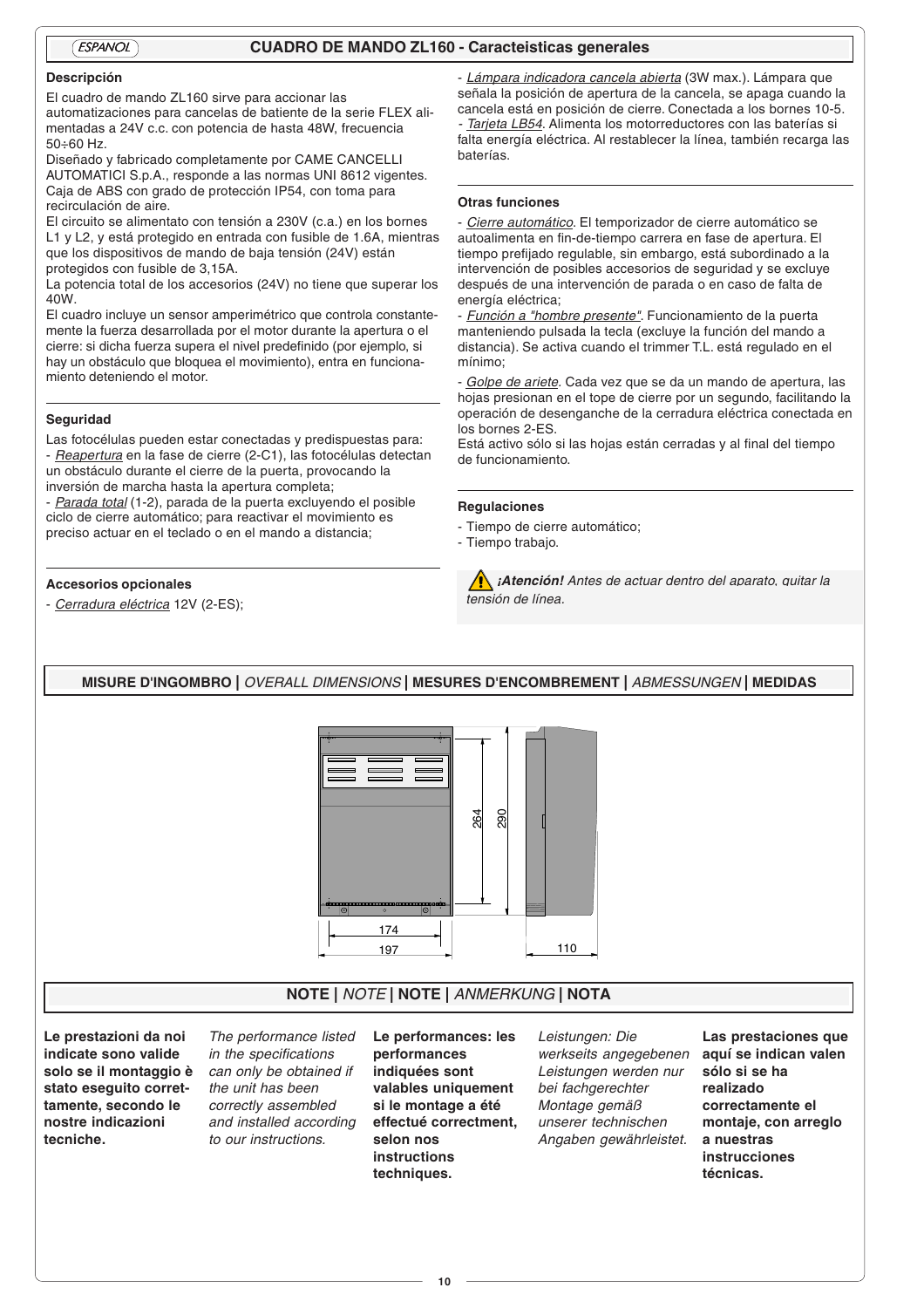## *ESPANOL* **CUADRO DE MANDO ZL160 - Caracteisticas generales**

## **Descripción**

El cuadro de mando ZL160 sirve para accionar las

automatizaciones para cancelas de batiente de la serie FLEX alimentadas a 24V c.c. con potencia de hasta 48W, frecuencia 50÷60 Hz.

Diseñado y fabricado completamente por CAME CANCELLI AUTOMATICI S.p.A., responde a las normas UNI 8612 vigentes. Caja de ABS con grado de protección IP54, con toma para recirculación de aire.

El circuito se alimentato con tensión a 230V (c.a.) en los bornes L1 y L2, y está protegido en entrada con fusible de 1.6A, mientras que los dispositivos de mando de baja tensión (24V) están protegidos con fusible de 3,15A.

La potencia total de los accesorios (24V) no tiene que superar los 40W.

El cuadro incluye un sensor amperimétrico que controla constantemente la fuerza desarrollada por el motor durante la apertura o el cierre: si dicha fuerza supera el nivel predefinido (por ejemplo, si hay un obstáculo que bloquea el movimiento), entra en funcionamiento deteniendo el motor.

#### **Seguridad**

Las fotocélulas pueden estar conectadas y predispuestas para: - Reapertura en la fase de cierre (2-C1), las fotocélulas detectan un obstáculo durante el cierre de la puerta, provocando la inversión de marcha hasta la apertura completa;

- Parada total (1-2), parada de la puerta excluyendo el posible ciclo de cierre automático; para reactivar el movimiento es preciso actuar en el teclado o en el mando a distancia;

#### **Accesorios opcionales**

- Cerradura eléctrica 12V (2-ES);

- Lámpara indicadora cancela abierta (3W max.). Lámpara que señala la posición de apertura de la cancela, se apaga cuando la cancela está en posición de cierre. Conectada a los bornes 10-5. Tarjeta LB54. Alimenta los motorreductores con las baterías si falta energía eléctrica. Al restablecer la línea, también recarga las baterías.

#### **Otras funciones**

- Cierre automático. El temporizador de cierre automático se autoalimenta en fin-de-tiempo carrera en fase de apertura. El tiempo prefijado regulable, sin embargo, está subordinado a la intervención de posibles accesorios de seguridad y se excluye después de una intervención de parada o en caso de falta de energía eléctrica;

- Función a "hombre presente". Funcionamiento de la puerta manteniendo pulsada la tecla (excluye la función del mando a distancia). Se activa cuando el trimmer T.L. está regulado en el mínimo;

Golpe de ariete. Cada vez que se da un mando de apertura, las hojas presionan en el tope de cierre por un segundo, facilitando la operación de desenganche de la cerradura eléctrica conectada en los bornes 2-ES.

Está activo sólo si las hojas están cerradas y al final del tiempo de funcionamiento.

#### **Regulaciones**

- Tiempo de cierre automático;
- Tiempo trabajo.

**Atención!** Antes de actuar dentro del aparato, quitar la tensión de línea.

**MISURE D'INGOMBRO |** OVERALL DIMENSIONS **| MESURES D'ENCOMBREMENT |** ABMESSUNGEN **| MEDIDAS**



## **NOTE |** NOTE **| NOTE |** ANMERKUNG **| NOTA**

**Le prestazioni da noi indicate sono valide solo se il montaggio è stato eseguito correttamente, secondo le nostre indicazioni tecniche.**

The performance listed in the specifications can only be obtained if the unit has been correctly assembled and installed according to our instructions.

**Le performances: les performances indiquées sont valables uniquement si le montage a été effectué correctment, selon nos instructions techniques.**

Leistungen: Die werkseits angegebenen Leistungen werden nur bei fachgerechter Montage gemäß unserer technischen Angaben gewährleistet.

**Las prestaciones que aquí se indican valen sólo si se ha realizado correctamente el montaje, con arreglo a nuestras instrucciones técnicas.**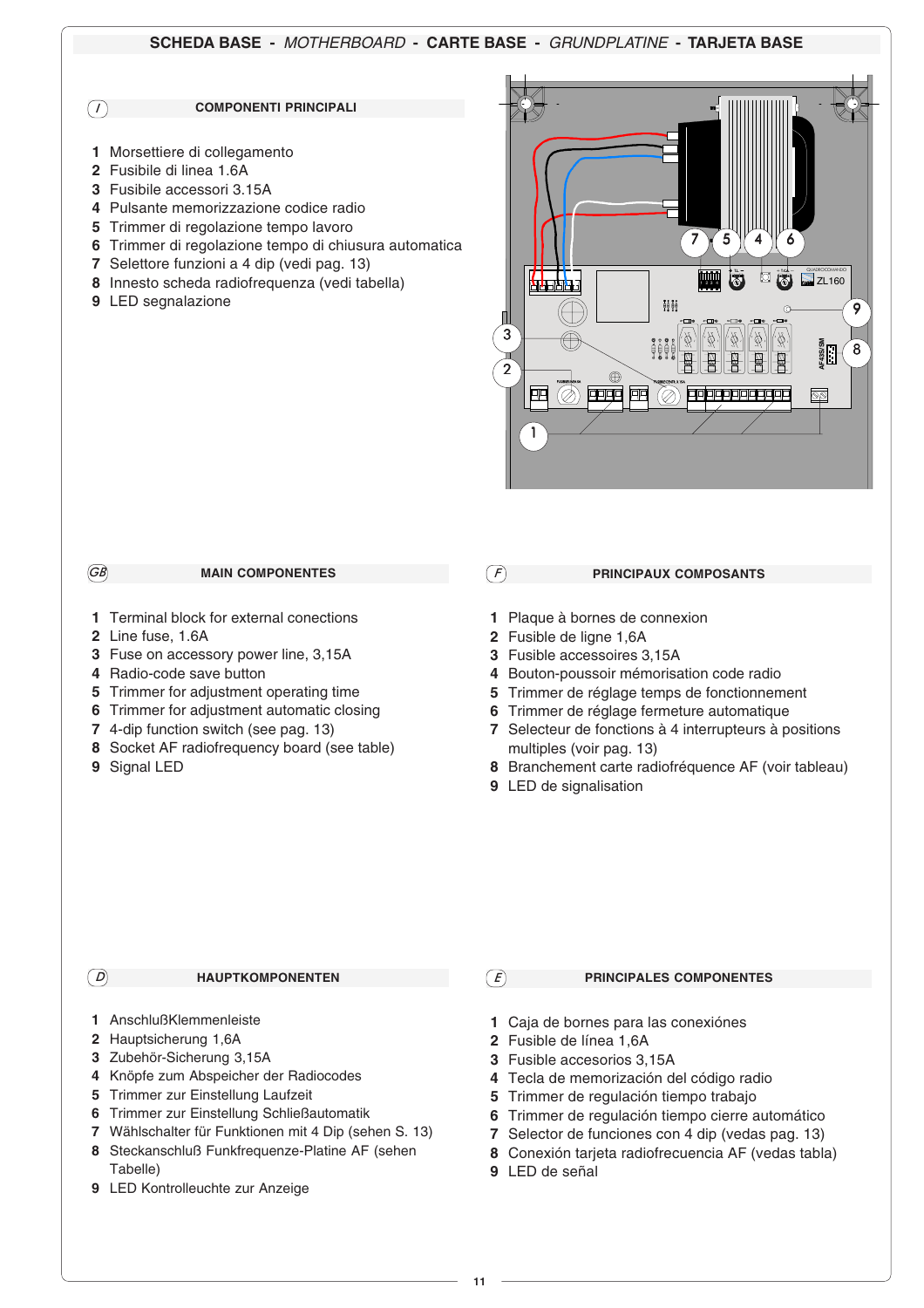## **SCHEDA BASE -** MOTHERBOARD **- CARTE BASE -** GRUNDPLATINE **- TARJETA BASE**

*I*

#### **COMPONENTI PRINCIPALI**

- Morsettiere di collegamento
- Fusibile di linea 1.6A
- Fusibile accessori 3.15A
- Pulsante memorizzazione codice radio
- Trimmer di regolazione tempo lavoro
- Trimmer di regolazione tempo di chiusura automatica
- Selettore funzioni a 4 dip (vedi pag. 13)
- Innesto scheda radiofrequenza (vedi tabella)
- LED segnalazione



#### **MAIN COMPONENTES**

- Terminal block for external conections
- Line fuse, 1.6A

*GB*

- Fuse on accessory power line, 3,15A
- Radio-code save button
- Trimmer for adjustment operating time
- Trimmer for adjustment automatic closing
- 4-dip function switch (see pag. 13)
- Socket AF radiofrequency board (see table)
- Signal LED

*F*

#### **PRINCIPAUX COMPOSANTS**

- Plaque à bornes de connexion
- Fusible de ligne 1,6A
- Fusible accessoires 3,15A
- Bouton-poussoir mémorisation code radio
- Trimmer de réglage temps de fonctionnement
- Trimmer de réglage fermeture automatique
- Selecteur de fonctions à 4 interrupteurs à positions multiples (voir pag. 13)
- Branchement carte radiofréquence AF (voir tableau)
- LED de signalisation

#### **HAUPTKOMPONENTEN** *D E*

- AnschlußKlemmenleiste
- Hauptsicherung 1,6A
- Zubehör-Sicherung 3,15A
- Knöpfe zum Abspeicher der Radiocodes
- Trimmer zur Einstellung Laufzeit
- Trimmer zur Einstellung Schließautomatik
- Wählschalter für Funktionen mit 4 Dip (sehen S. 13)
- Steckanschluß Funkfrequenze-Platine AF (sehen Tabelle)
- LED Kontrolleuchte zur Anzeige

### **PRINCIPALES COMPONENTES**

- Caja de bornes para las conexiónes
- Fusible de línea 1,6A
- Fusible accesorios 3,15A
- Tecla de memorización del código radio
- Trimmer de regulación tiempo trabajo
- Trimmer de regulación tiempo cierre automático
- Selector de funciones con 4 dip (vedas pag. 13)
- Conexión tarjeta radiofrecuencia AF (vedas tabla)
- LED de señal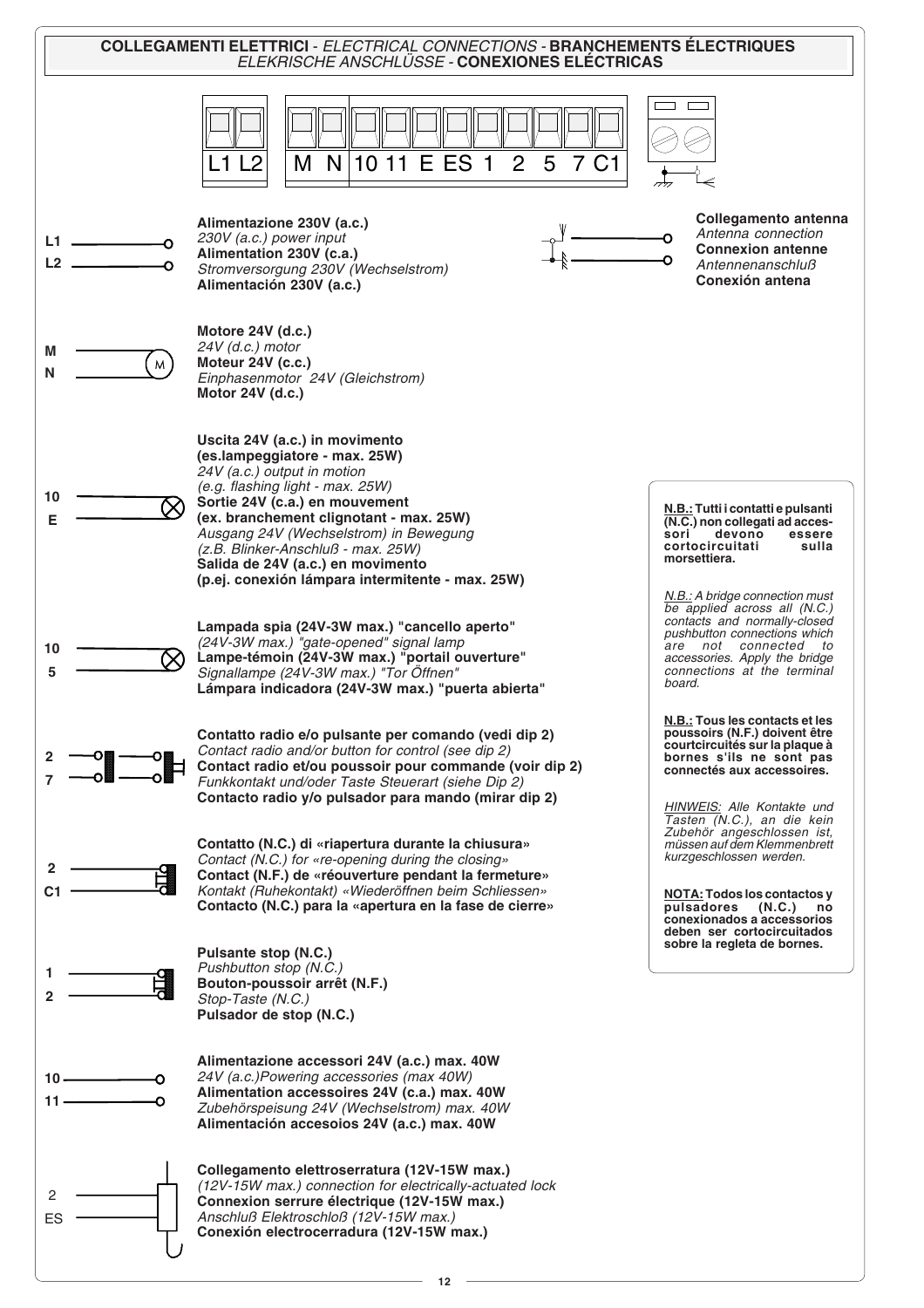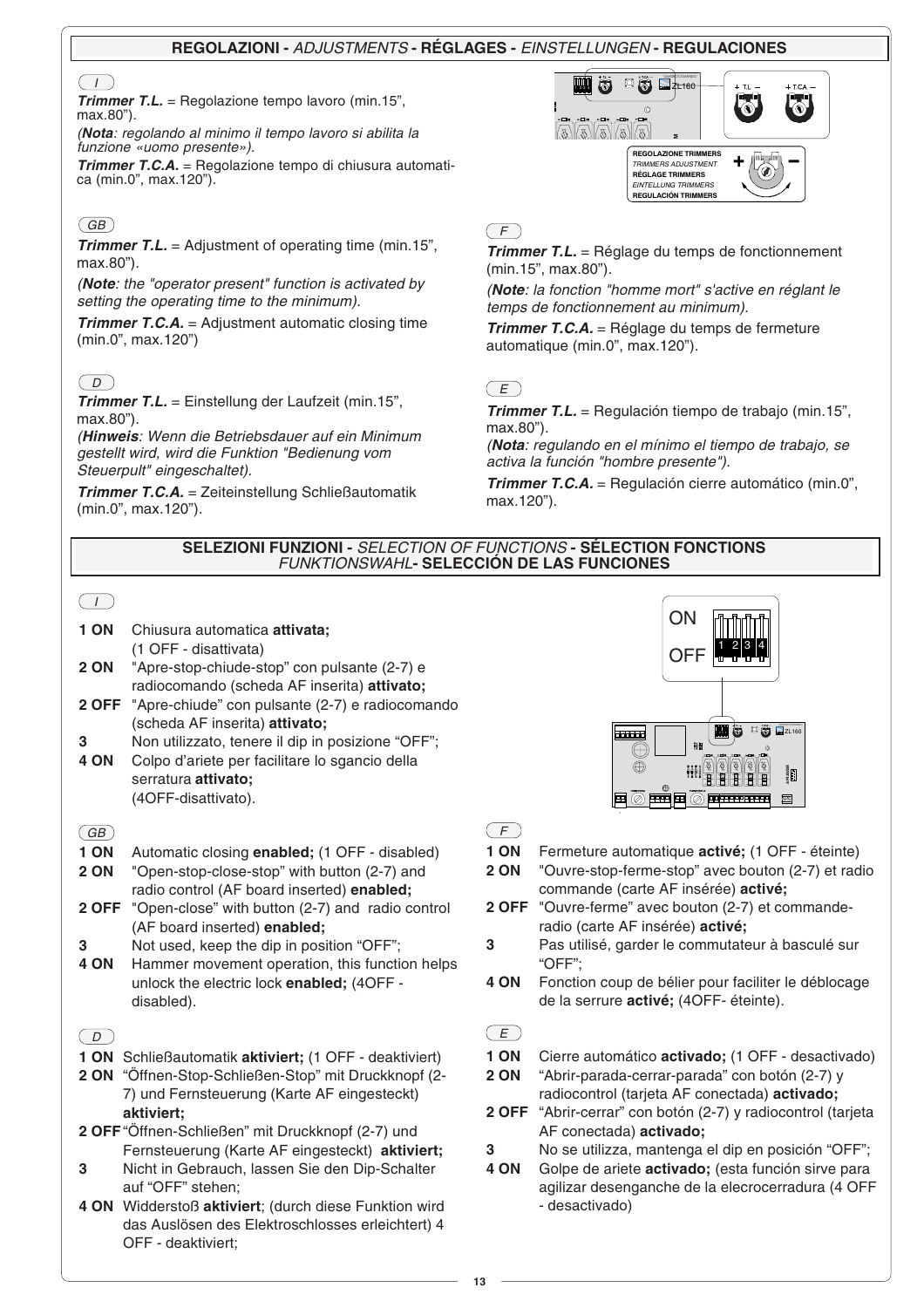## **REGOLAZIONI -** ADJUSTMENTS **- RÉGLAGES -** EINSTELLUNGEN **- REGULACIONES**

## $\sqrt{1}$

**Trimmer T.L.** = Regolazione tempo lavoro (min.15", max.80").

(**Nota**: regolando al minimo il tempo lavoro si abilita la funzione «uomo presente»).

**Trimmer T.C.A.** = Regolazione tempo di chiusura automatica (min.0", max.120").

# $\overline{GB}$

**Trimmer T.L.** = Adjustment of operating time (min.15", max.80").

(**Note**: the "operator present" function is activated by setting the operating time to the minimum).

**Trimmer T.C.A.** = Adjustment automatic closing time (min.0", max.120")

# $\overline{(\Box)}$

**Trimmer T.L.** = Einstellung der Laufzeit (min.15", max.80").

(**Hinweis**: Wenn die Betriebsdauer auf ein Minimum gestellt wird, wird die Funktion "Bedienung vom Steuerpult" eingeschaltet).

**Trimmer T.C.A.** = Zeiteinstellung Schließautomatik (min.0", max.120").



## $(F)$

**Trimmer T.L.** = Réglage du temps de fonctionnement (min.15", max.80").

(**Note**: la fonction "homme mort" s'active en réglant le temps de fonctionnement au minimum).

**Trimmer T.C.A.** = Réglage du temps de fermeture automatique (min.0", max.120").

# $(E)$

**Trimmer T.L.** = Regulación tiempo de trabajo (min.15", max.80").

(**Nota**: regulando en el mínimo el tiempo de trabajo, se activa la función "hombre presente").

**Trimmer T.C.A.** = Regulación cierre automático (min.0", max.120").

### **SELEZIONI FUNZIONI -** SELECTION OF FUNCTIONS **- SÉLECTION FONCTIONS** FUNKTIONSWAHL**- SELECCIÓN DE LAS FUNCIONES**

## $\overline{1}$

- **1 ON** Chiusura automatica **attivata;** (1 OFF - disattivata)
- **2 ON** "Apre-stop-chiude-stop" con pulsante (2-7) e radiocomando (scheda AF inserita) **attivato;**
- **2 OFF** "Apre-chiude" con pulsante (2-7) e radiocomando (scheda AF inserita) **attivato;**
- **3** Non utilizzato, tenere il dip in posizione "OFF";
- **4 ON** Colpo d'ariete per facilitare lo sgancio della serratura **attivato;** (4OFF-disattivato).

## $\overline{GB}$

**1 ON** Automatic closing **enabled;** (1 OFF - disabled)

**2 ON** "Open-stop-close-stop" with button (2-7) and radio control (AF board inserted) **enabled;**

- **2 OFF** "Open-close" with button (2-7) and radio control (AF board inserted) **enabled;**
- **3** Not used, keep the dip in position "OFF";
- **4 ON** Hammer movement operation, this function helps unlock the electric lock **enabled;** (4OFF disabled).

# $\boxed{D}$

- **1 ON** Schließautomatik **aktiviert;** (1 OFF deaktiviert)
- **2 ON** "Öffnen-Stop-Schließen-Stop" mit Druckknopf (2- 7) und Fernsteuerung (Karte AF eingesteckt) **aktiviert;**
- **2 OFF**"Öffnen-Schließen" mit Druckknopf (2-7) und Fernsteuerung (Karte AF eingesteckt) **aktiviert;**
- **3** Nicht in Gebrauch, lassen Sie den Dip-Schalter auf "OFF" stehen;
- **4 ON** Widderstoß **aktiviert**; (durch diese Funktion wird das Auslösen des Elektroschlosses erleichtert) 4 OFF - deaktiviert;



 $(F)$ 

- **1 ON** Fermeture automatique **activé;** (1 OFF éteinte)
- **2 ON** "Ouvre-stop-ferme-stop" avec bouton (2-7) et radio commande (carte AF insérée) **activé;**
- **2 OFF** "Ouvre-ferme" avec bouton (2-7) et commanderadio (carte AF insérée) **activé;**
- **3** Pas utilisé, garder le commutateur à basculé sur "OFF";
- **4 ON** Fonction coup de bélier pour faciliter le déblocage de la serrure **activé;** (4OFF- éteinte).

## $(E)$

- **1 ON** Cierre automático **activado;** (1 OFF desactivado)
- **2 ON** "Abrir-parada-cerrar-parada" con botón (2-7) y radiocontrol (tarjeta AF conectada) **activado;**
- **2 OFF** "Abrir-cerrar" con botón (2-7) y radiocontrol (tarjeta AF conectada) **activado;**
- **3** No se utilizza, mantenga el dip en posición "OFF";
- **4 ON** Golpe de ariete **activado;** (esta función sirve para agilizar desenganche de la elecrocerradura (4 OFF - desactivado)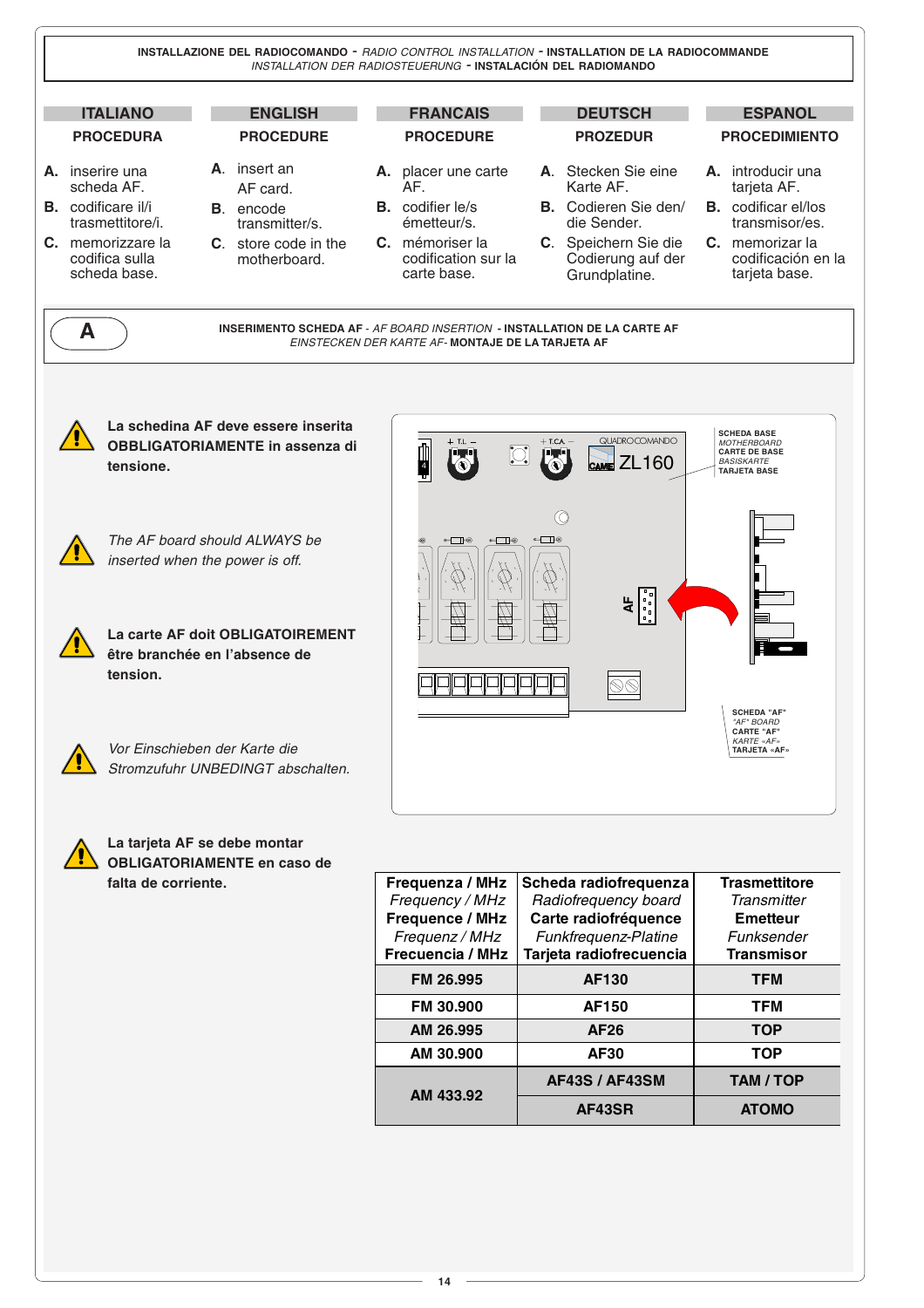

**14**

**AM 433.92**

**AF43SR ATOMO**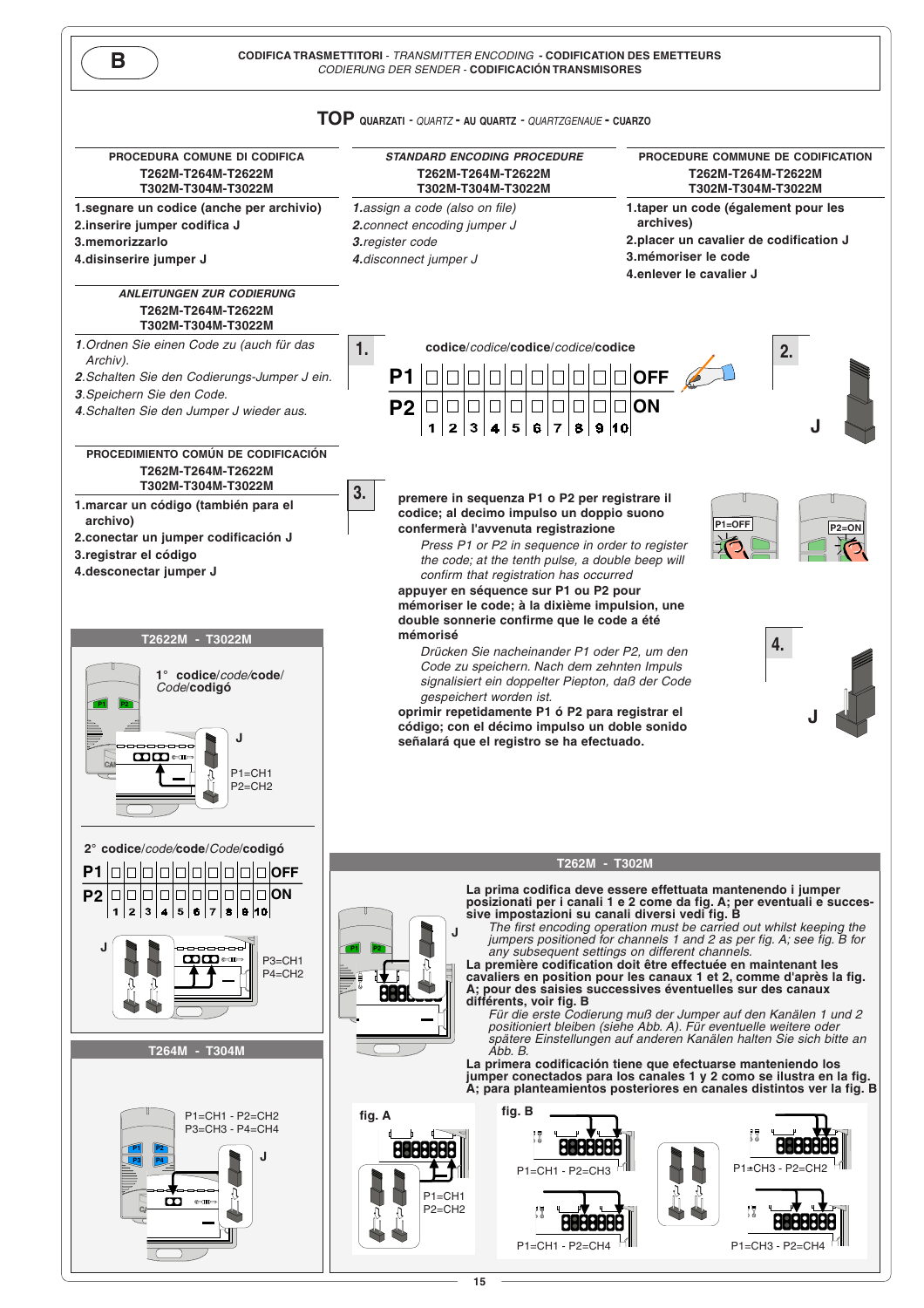

**15**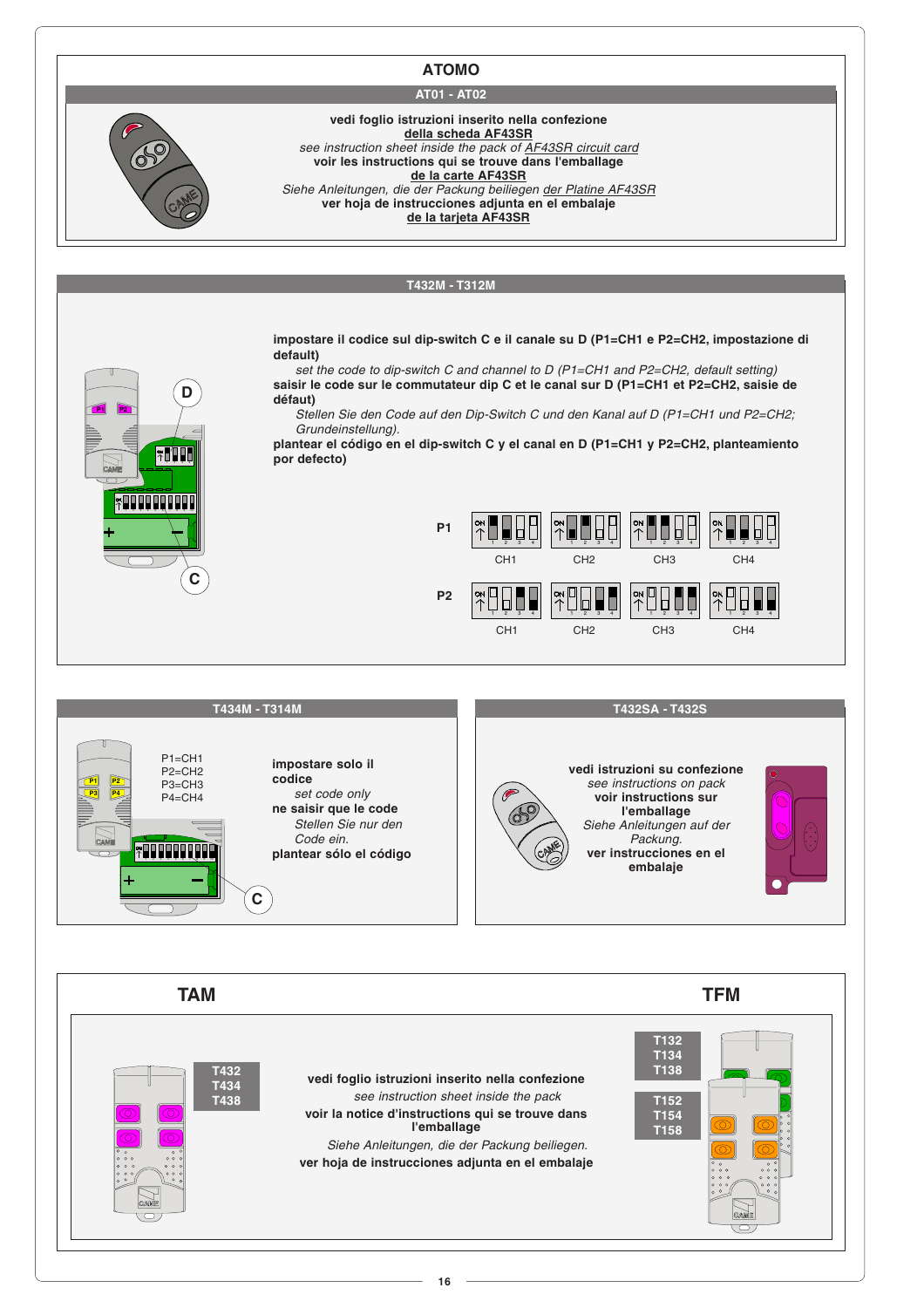## **ATOMO**

## **AT01 - AT02**

**vedi foglio istruzioni inserito nella confezione della scheda AF43SR** see instruction sheet inside the pack of AF43SR circuit card **voir les instructions qui se trouve dans l'emballage de la carte AF43SR** Siehe Anleitungen, die der Packung beiliegen der Platine AF43SR **ver hoja de instrucciones adjunta en el embalaje**





**16**

**voir la notice d'instructions qui se trouve dans l'emballage** Siehe Anleitungen, die der Packung beiliegen. **ver hoja de instrucciones adjunta en el embalaje**

**T154 T158**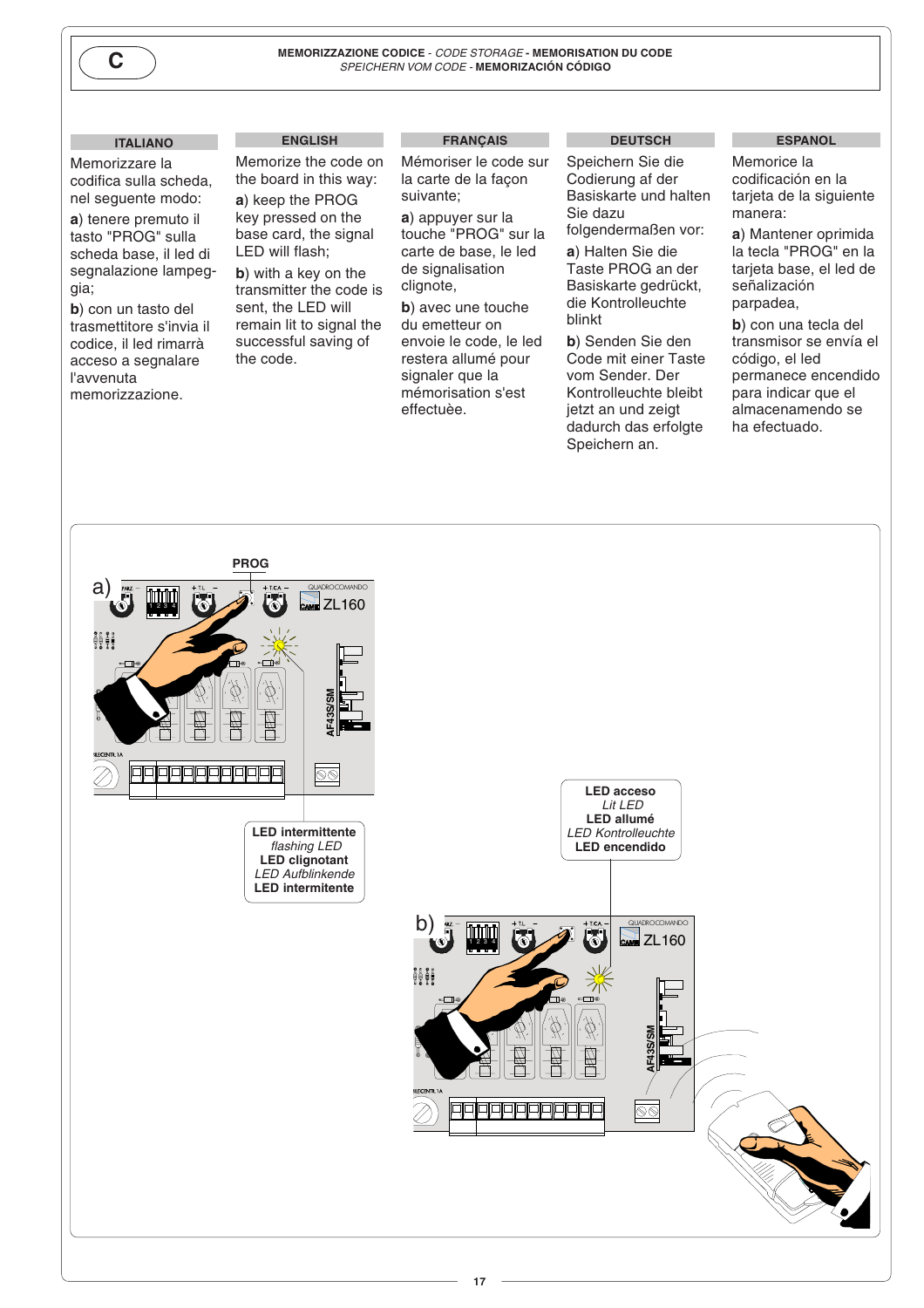

**C**<br>MEMORIZZAZIONE CODICE - *CODE STORAGE* - MEMORISATION DU CODE<br>*SPEICHERN VOM CODE* - MEMORIZACIÓN CÓDIGO

### **ITALIANO**

Memorizzare la codifica sulla scheda, nel seguente modo:

**a**) tenere premuto il tasto "PROG" sulla scheda base, il led di segnalazione lampeggia;

**b**) con un tasto del trasmettitore s'invia il codice, il led rimarrà acceso a segnalare l'avvenuta memorizzazione.

## **ENGLISH**

Memorize the code on the board in this way: **a**) keep the PROG key pressed on the base card, the signal LED will flash;

**b**) with a key on the transmitter the code is sent, the LED will remain lit to signal the successful saving of the code.

#### **FRANÇAIS**

Mémoriser le code sur la carte de la façon suivante;

**a**) appuyer sur la touche "PROG" sur la carte de base, le led de signalisation clignote,

**b**) avec une touche du emetteur on envoie le code, le led restera allumé pour signaler que la mémorisation s'est effectuèe.

#### **DEUTSCH**

Speichern Sie die Codierung af der Basiskarte und halten Sie dazu folgendermaßen vor:

**a**) Halten Sie die Taste PROG an der Basiskarte gedrückt, die Kontrolleuchte blinkt

**b**) Senden Sie den Code mit einer Taste vom Sender. Der Kontrolleuchte bleibt jetzt an und zeigt dadurch das erfolgte Speichern an.

#### **ESPANOL**

Memorice la codificación en la tarjeta de la siguiente manera:

**a**) Mantener oprimida la tecla "PROG" en la tarjeta base, el led de señalización parpadea,

**b**) con una tecla del transmisor se envía el código, el led permanece encendido para indicar que el almacenamendo se ha efectuado.

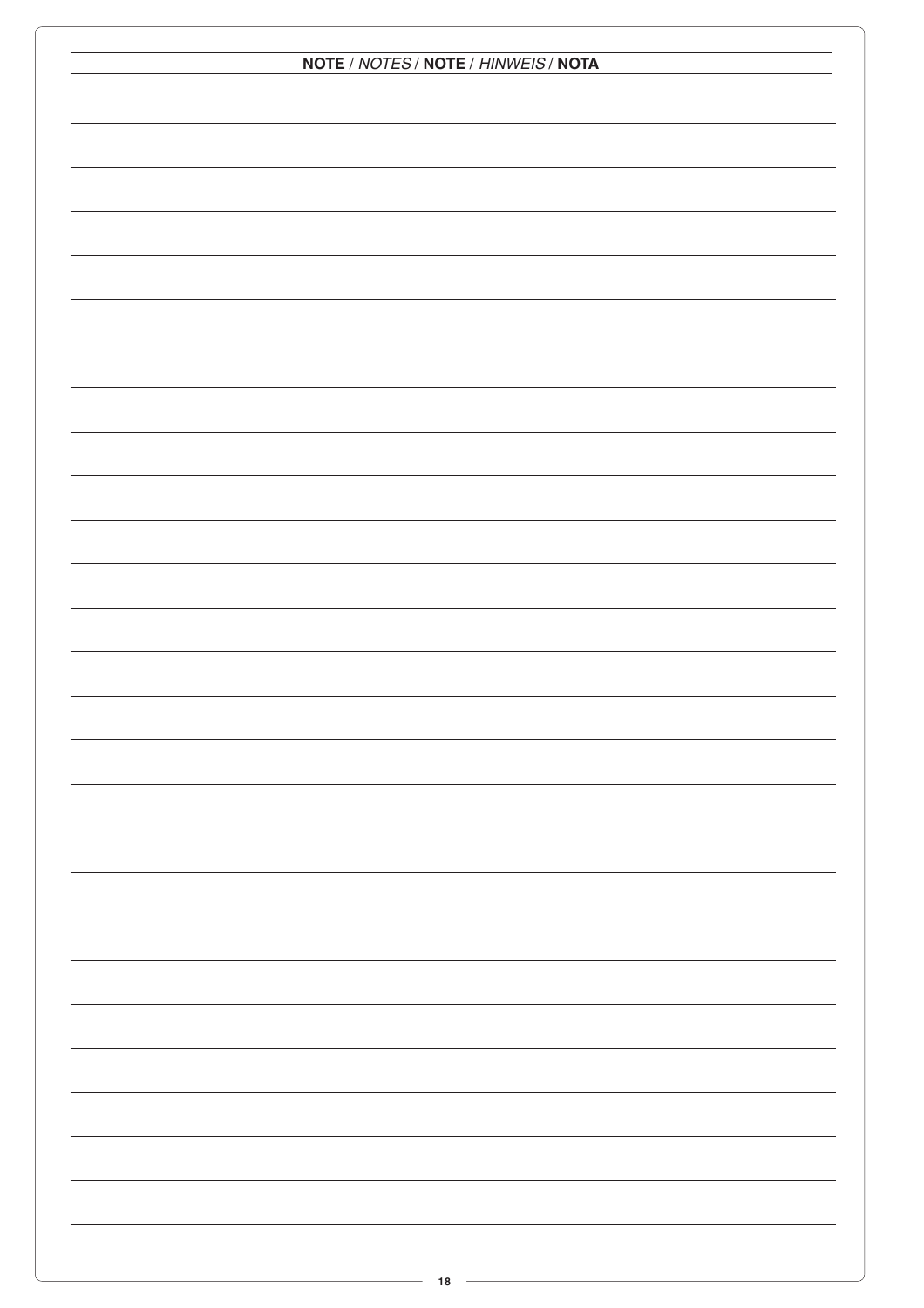| NOTE / NOTES / NOTE / HINWEIS / NOTA |  |  |  |  |
|--------------------------------------|--|--|--|--|
|                                      |  |  |  |  |
|                                      |  |  |  |  |
|                                      |  |  |  |  |
|                                      |  |  |  |  |
|                                      |  |  |  |  |
|                                      |  |  |  |  |
|                                      |  |  |  |  |
|                                      |  |  |  |  |
|                                      |  |  |  |  |
|                                      |  |  |  |  |
|                                      |  |  |  |  |
|                                      |  |  |  |  |
|                                      |  |  |  |  |
|                                      |  |  |  |  |
|                                      |  |  |  |  |
|                                      |  |  |  |  |
|                                      |  |  |  |  |
|                                      |  |  |  |  |
|                                      |  |  |  |  |
|                                      |  |  |  |  |
|                                      |  |  |  |  |
|                                      |  |  |  |  |
|                                      |  |  |  |  |
|                                      |  |  |  |  |
|                                      |  |  |  |  |
|                                      |  |  |  |  |
|                                      |  |  |  |  |
|                                      |  |  |  |  |
|                                      |  |  |  |  |
|                                      |  |  |  |  |
|                                      |  |  |  |  |
|                                      |  |  |  |  |
|                                      |  |  |  |  |
|                                      |  |  |  |  |
|                                      |  |  |  |  |
|                                      |  |  |  |  |
|                                      |  |  |  |  |
|                                      |  |  |  |  |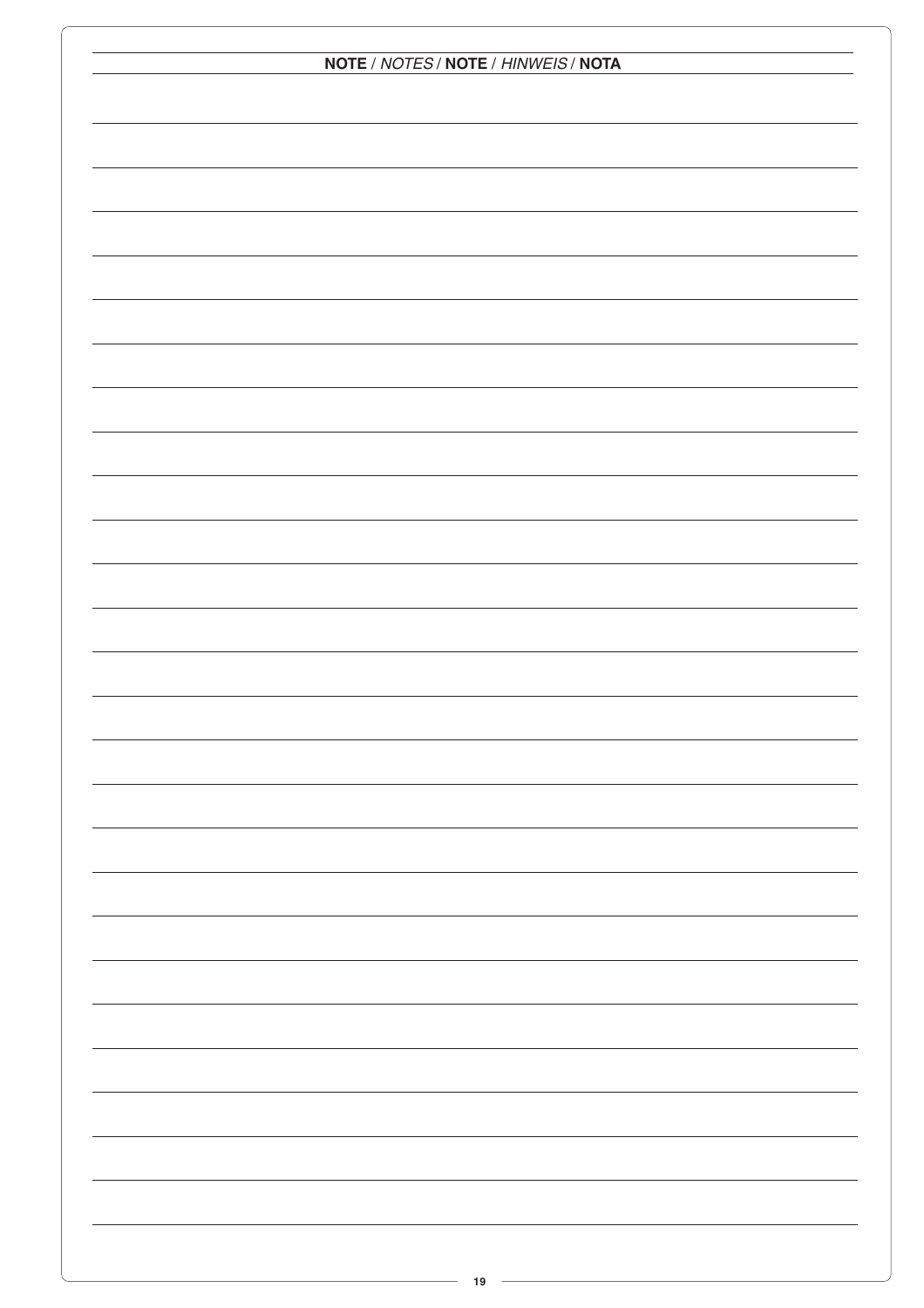| NOTE / NOTES / NOTE / HINWEIS / NOTA |  |  |  |  |
|--------------------------------------|--|--|--|--|
|                                      |  |  |  |  |
|                                      |  |  |  |  |
|                                      |  |  |  |  |
|                                      |  |  |  |  |
|                                      |  |  |  |  |
|                                      |  |  |  |  |
|                                      |  |  |  |  |
|                                      |  |  |  |  |
|                                      |  |  |  |  |
|                                      |  |  |  |  |
|                                      |  |  |  |  |
|                                      |  |  |  |  |
|                                      |  |  |  |  |
|                                      |  |  |  |  |
|                                      |  |  |  |  |
|                                      |  |  |  |  |
|                                      |  |  |  |  |
|                                      |  |  |  |  |
|                                      |  |  |  |  |
|                                      |  |  |  |  |
|                                      |  |  |  |  |
|                                      |  |  |  |  |
|                                      |  |  |  |  |
|                                      |  |  |  |  |
|                                      |  |  |  |  |
|                                      |  |  |  |  |